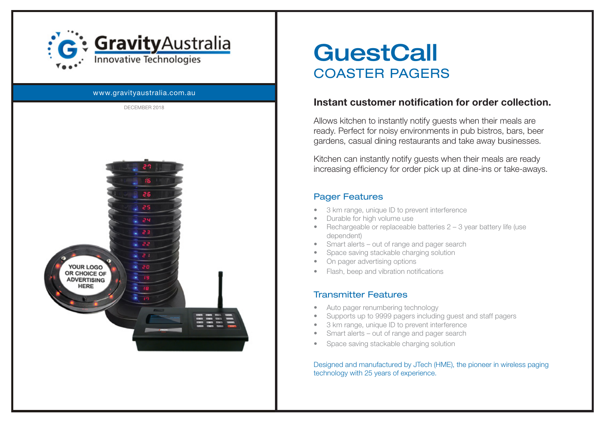

#### www.gravityaustralia.com.au DECEMBER 2018



# **GuestCall** COASTER PAGERS

### Instant customer notification for order collection.

Allows kitchen to instantly notify guests when their meals are ready. Perfect for noisy environments in pub bistros, bars, beer gardens, casual dining restaurants and take away businesses.

Kitchen can instantly notify guests when their meals are ready increasing efficiency for order pick up at dine-ins or take-aways.

#### Pager Features

- 3 km range, unique ID to prevent interference
- Durable for high volume use
- Rechargeable or replaceable batteries 2 3 year battery life (use dependent)
- Smart alerts out of range and pager search
- Space saving stackable charging solution
- On pager advertising options
- Flash, beep and vibration notifications

## Transmitter Features

- Auto pager renumbering technology
- Supports up to 9999 pagers including guest and staff pagers
- 3 km range, unique ID to prevent interference
- Smart alerts out of range and pager search
- Space saving stackable charging solution

#### Designed and manufactured by JTech (HME), the pioneer in wireless paging technology with 25 years of experience.